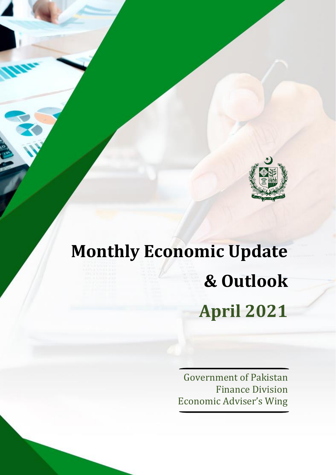

# **Monthly Economic Update & Outlook April 2021**

Government of Pakistan Finance Division Economic Adviser's Wing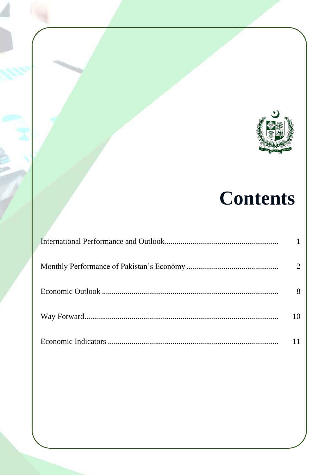

## **Contents**

| 2  |
|----|
| 8  |
| 10 |
| 11 |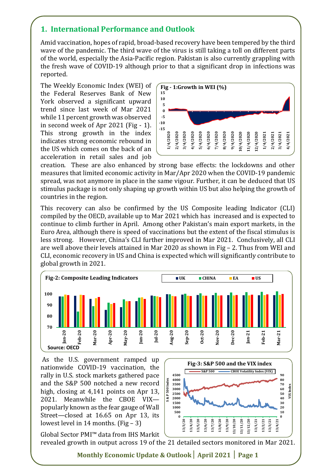#### **1. International Performance and Outlook**

Amid vaccination, hopes of rapid, broad-based recovery have been tempered by the third wave of the pandemic. The third wave of the virus is still taking a toll on different parts of the world, especially the Asia-Pacific region. Pakistan is also currently grappling with the fresh wave of COVID-19 although prior to that a significant drop in infections was reported.

The Weekly Economic Index (WEI) of the Federal Reserves Bank of New York observed a significant upward trend since last week of Mar 2021 while 11 percent growth was observed in second week of Apr 2021 (Fig - 1). This strong growth in the index indicates strong economic rebound in the US which comes on the back of an acceleration in retail sales and job



creation. These are also enhanced by strong base effects: the lockdowns and other measures that limited economic activity in Mar/Apr 2020 when the COVID-19 pandemic spread, was not anymore in place in the same vigour. Further, it can be deduced that US stimulus package is not only shaping up growth within US but also helping the growth of countries in the region.

This recovery can also be confirmed by the US Composite leading Indicator (CLI) compiled by the OECD, available up to Mar 2021 which has increased and is expected to continue to climb further in April. Among other Pakistan's main export markets, in the Euro Area, although there is speed of vaccinations but the extent of the fiscal stimulus is less strong. However, China's CLI further improved in Mar 2021. Conclusively, all CLI are well above their levels attained in Mar 2020 as shown in Fig – 2. Thus from WEI and CLI, economic recovery in US and China is expected which will significantly contribute to global growth in 2021.



As the U.S. government ramped up nationwide COVID-19 vaccination, the rally in U.S. stock markets gathered pace and the S&P 500 notched a new record high, closing at 4,141 points on Apr 13, 2021. Meanwhile the CBOE VIX popularly known as the fear gauge of Wall Street—closed at 16.65 on Apr 13, its lowest level in 14 months. (Fig – 3)



Global Sector PMI™ data from IHS Markit revealed growth in output across 19 of the 21 detailed sectors monitored in Mar 2021.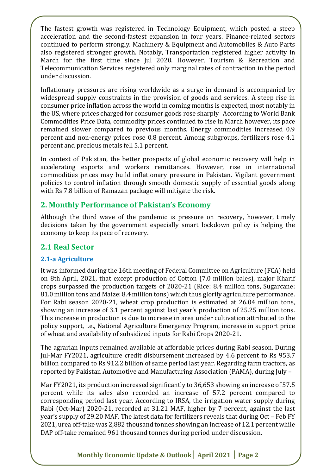The fastest growth was registered in Technology Equipment, which posted a steep acceleration and the second-fastest expansion in four years. Finance-related sectors continued to perform strongly. Machinery & Equipment and Automobiles & Auto Parts also registered stronger growth. Notably, Transportation registered higher activity in March for the first time since Jul 2020. However, Tourism & Recreation and Telecommunication Services registered only marginal rates of contraction in the period under discussion.

Inflationary pressures are rising worldwide as a surge in demand is accompanied by widespread supply constraints in the provision of goods and services. A steep rise in consumer price inflation across the world in coming months is expected, most notably in the US, where prices charged for consumer goods rose sharply According to World Bank Commodities Price Data, commodity prices continued to rise in March however, its pace remained slower compared to previous months. Energy commodities increased 0.9 percent and non-energy prices rose 0.8 percent. Among subgroups, fertilizers rose 4.1 percent and precious metals fell 5.1 percent.

In context of Pakistan, the better prospects of global economic recovery will help in accelerating exports and workers remittances. However, rise in international commodities prices may build inflationary pressure in Pakistan. Vigilant government policies to control inflation through smooth domestic supply of essential goods along with Rs 7.8 billion of Ramazan package will mitigate the risk.

#### **2. Monthly Performance of Pakistan's Economy**

Although the third wave of the pandemic is pressure on recovery, however, timely decisions taken by the government especially smart lockdown policy is helping the economy to keep its pace of recovery.

#### **2.1 Real Sector**

#### **2.1-a Agriculture**

It was informed during the 16th meeting of Federal Committee on Agriculture (FCA) held on 8th April, 2021, that except production of Cotton (7.0 million bales), major Kharif crops surpassed the production targets of 2020-21 (Rice: 8.4 million tons, Sugarcane: 81.0 million tons and Maize: 8.4 million tons) which thus glorify agriculture performance. For Rabi season 2020-21, wheat crop production is estimated at 26.04 million tons, showing an increase of 3.1 percent against last year's production of 25.25 million tons. This increase in production is due to increase in area under cultivation attributed to the policy support, i.e., National Agriculture Emergency Program, increase in support price of wheat and availability of subsidized inputs for Rabi Crops 2020-21.

The agrarian inputs remained available at affordable prices during Rabi season. During Jul-Mar FY2021, agriculture credit disbursement increased by 4.6 percent to Rs 953.7 billion compared to Rs 912.2 billion of same period last year. Regarding farm tractors, as reported by Pakistan Automotive and Manufacturing Association (PAMA), during July –

Mar FY2021, its production increased significantly to 36,653 showing an increase of 57.5 percent while its sales also recorded an increase of 57.2 percent compared to corresponding period last year. According to IRSA, the irrigation water supply during Rabi (Oct-Mar) 2020-21, recorded at 31.21 MAF, higher by 7 percent, against the last year's supply of 29.20 MAF. The latest data for fertilizers reveals that during Oct – Feb FY 2021, urea off-take was 2,882 thousand tonnes showing an increase of 12.1 percent while DAP off-take remained 961 thousand tonnes during period under discussion.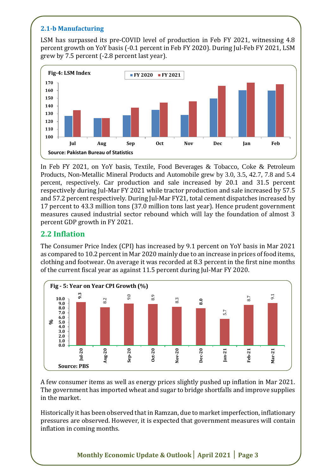#### **2.1-b Manufacturing**

LSM has surpassed its pre-COVID level of production in Feb FY 2021, witnessing 4.8 percent growth on YoY basis (-0.1 percent in Feb FY 2020). During Jul-Feb FY 2021, LSM grew by 7.5 percent (-2.8 percent last year).



In Feb FY 2021, on YoY basis, Textile, Food Beverages & Tobacco, Coke & Petroleum Products, Non-Metallic Mineral Products and Automobile grew by 3.0, 3.5, 42.7, 7.8 and 5.4 percent, respectively. Car production and sale increased by 20.1 and 31.5 percent respectively during Jul-Mar FY 2021 while tractor production and sale increased by 57.5 and 57.2 percent respectively. During Jul-Mar FY21, total cement dispatches increased by 17 percent to 43.3 million tons (37.0 million tons last year). Hence prudent government measures caused industrial sector rebound which will lay the foundation of almost 3 percent GDP growth in FY 2021.

#### **2.2 Inflation**

The Consumer Price Index (CPI) has increased by 9.1 percent on YoY basis in Mar 2021 as compared to 10.2 percent in Mar 2020 mainly due to an increase in prices of food items, clothing and footwear. On average it was recorded at 8.3 percent in the first nine months of the current fiscal year as against 11.5 percent during Jul-Mar FY 2020.



A few consumer items as well as energy prices slightly pushed up inflation in Mar 2021. The government has imported wheat and sugar to bridge shortfalls and improve supplies in the market.

Historically it has been observed that in Ramzan, due to market imperfection, inflationary pressures are observed. However, it is expected that government measures will contain inflation in coming months.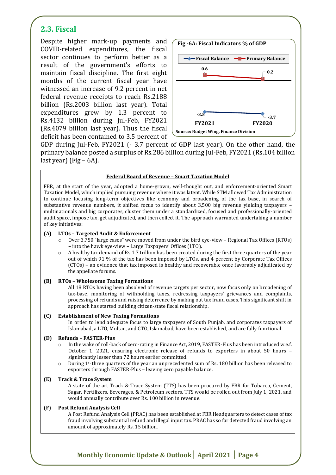### **2.3. Fiscal**

Despite higher mark-up payments and COVID-related expenditures, the fiscal sector continues to perform better as a result of the government's efforts to maintain fiscal discipline. The first eight months of the current fiscal year have witnessed an increase of 9.2 percent in net federal revenue receipts to reach Rs.2188 billion (Rs.2003 billion last year). Total expenditures grew by 1.3 percent to Rs.4132 billion during Jul-Feb, FY2021 (Rs.4079 billion last year). Thus the fiscal deficit has been contained to 3.5 percent of



GDP during Jul-Feb, FY2021 (- 3.7 percent of GDP last year). On the other hand, the primary balance posted a surplus of Rs.286 billion during Jul-Feb, FY2021 (Rs.104 billion last year) (Fig  $-6A$ ).

#### **Federal Board of Revenue – Smart Taxation Model**

FBR, at the start of the year, adopted a home-grown, well-thought out, and enforcement-oriented Smart Taxation Model, which implied pursuing revenue where it was latent. While STM allowed Tax Administration to continue focusing long-term objectives like economy and broadening of the tax base, in search of substantive revenue numbers, it shifted focus to identify about 3,500 big revenue yielding taxpayers – multinationals and big corporates, cluster them under a standardized, focused and professionally-oriented audit space, impose tax, get adjudicated, and then collect it. The approach warranted undertaking a number of key initiatives:

#### **(A) LTOs – Targeted Audit & Enforcement**

- o Over 3,750 "large cases" were moved from under the bird eye-view Regional Tax Offices (RTOs) – into the hawk eye-view – Large Taxpayers' Offices (LTO).
- A healthy tax demand of Rs.1.7 trillion has been created during the first three quarters of the year out of which 91 % of the tax has been imposed by LTOs, and 4 percent by Corporate Tax Offices (CTOs) – an evidence that tax imposed is healthy and recoverable once favorably adjudicated by the appellate forums.

#### **(B) RTOs – Wholesome Taxing Formations**

All 18 RTOs having been absolved of revenue targets per sector, now focus only on broadening of tax-base, monitoring of withholding taxes, redressing taxpayers' grievances and complaints, processing of refunds and raising deterrence by making out tax fraud cases. This significant shift in approach has started building citizen-state fiscal relationship.

#### **(C) Establishment of New Taxing Formations**

In order to lend adequate focus to large taxpayers of South Punjab, and corporates taxpayers of Islamabad, a LTO, Multan, and CTO, Islamabad, have been established, and are fully functional.

#### **(D) Refunds – FASTER-Plus**

- $\circ$  In the wake of roll-back of zero-rating in Finance Act, 2019, FASTER-Plus has been introduced w.e.f. October 1, 2021, ensuring electronic release of refunds to exporters in about 50 hours – significantly lesser than 72 hours earlier committed.
- During  $1<sup>st</sup>$  three quarters of the year an unprecedented sum of Rs. 180 billion has been released to exporters through FASTER-Plus – leaving zero payable balance.

#### **(E) Track & Trace System**

A state-of-the-art Track & Trace System (TTS) has been procured by FBR for Tobacco, Cement, Sugar, Fertilizers, Beverages, & Petroleum sectors. TTS would be rolled out from July 1, 2021, and would annually contribute over Rs. 100 billion in revenue.

#### **(F) Post Refund Analysis Cell**

A Post Refund Analysis Cell (PRAC) has been established at FBR Headquarters to detect cases of tax fraud involving substantial refund and illegal input tax. PRAC has so far detected fraud involving an amount of approximately Rs. 15 billion.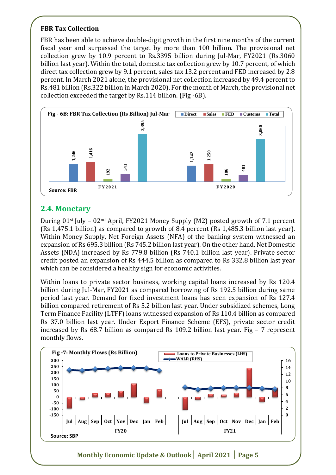#### **FBR Tax Collection**

FBR has been able to achieve double-digit growth in the first nine months of the current fiscal year and surpassed the target by more than 100 billion. The provisional net collection grew by 10.9 percent to Rs.3395 billion during Jul-Mar, FY2021 (Rs.3060 billion last year). Within the total, domestic tax collection grew by 10.7 percent, of which direct tax collection grew by 9.1 percent, sales tax 13.2 percent and FED increased by 2.8 percent. In March 2021 alone, the provisional net collection increased by 49.4 percent to Rs.481 billion (Rs.322 billion in March 2020). For the month of March, the provisional net collection exceeded the target by Rs.114 billion. (Fig -6B).



## **2.4. Monetary**

During  $01$ <sup>st</sup> July –  $02<sup>nd</sup>$  April, FY2021 Money Supply (M2) posted growth of 7.1 percent (Rs 1,475.1 billion) as compared to growth of 8.4 percent (Rs 1,485.3 billion last year). Within Money Supply, Net Foreign Assets (NFA) of the banking system witnessed an expansion of Rs 695.3 billion (Rs 745.2 billion last year). On the other hand, Net Domestic Assets (NDA) increased by Rs 779.8 billion (Rs 740.1 billion last year). Private sector credit posted an expansion of Rs 444.5 billion as compared to Rs 332.8 billion last year which can be considered a healthy sign for economic activities.

Within loans to private sector business, working capital loans increased by Rs 120.4 billion during Jul-Mar, FY2021 as compared borrowing of Rs 192.5 billion during same period last year. Demand for fixed investment loans has seen expansion of Rs 127.4 billion compared retirement of Rs 5.2 billion last year. Under subsidized schemes, Long Term Finance Facility (LTFF) loans witnessed expansion of Rs 110.4 billion as compared Rs 37.0 billion last year. Under Export Finance Scheme (EFS), private sector credit increased by Rs 68.7 billion as compared Rs 109.2 billion last year. Fig – 7 represent **Example 12**<br> **1,246**<br> **1,246**<br> **1,475.1 bil**<br> **1,475.1 bil**<br> **1,475.1 bil**<br> **1,475.1 bil**<br> **1,475.1 bil**<br> **1,475.1 bil**<br> **1,475.1 bil**<br> **1,200**<br> **1,200**<br> **1,200**<br> **1,200**<br> **1,200**<br> **1,200**<br> **1,200**<br> **1,200**<br> **1,200**<br> **1,2** 

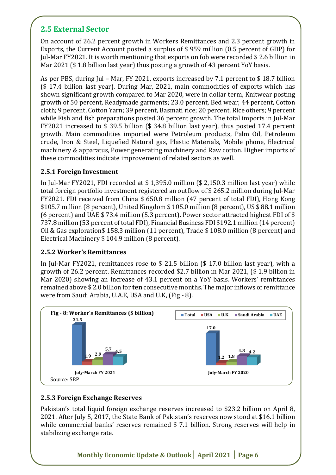## **2.5 External Sector**

On account of 26.2 percent growth in Workers Remittances and 2.3 percent growth in Exports, the Current Account posted a surplus of \$ 959 million (0.5 percent of GDP) for Jul-Mar FY2021. It is worth mentioning that exports on fob were recorded \$ 2.6 billion in Mar 2021 (\$ 1.8 billion last year) thus posting a growth of 43 percent YoY basis.

As per PBS, during Jul – Mar, FY 2021, exports increased by 7.1 percent to \$ 18.7 billion (\$ 17.4 billion last year). During Mar, 2021, main commodities of exports which has shown significant growth compared to Mar 2020, were in dollar term, Knitwear posting growth of 50 percent, Readymade garments; 23.0 percent, Bed wear; 44 percent, Cotton cloth; 9 percent, Cotton Yarn; 39 percent, Basmati rice; 20 percent, Rice others; 9 percent while Fish and fish preparations posted 36 percent growth. The total imports in Jul-Mar FY2021 increased to \$ 39.5 billion (\$ 34.8 billion last year), thus posted 17.4 percent growth. Main commodities imported were Petroleum products, Palm Oil, Petroleum crude, Iron & Steel, Liquefied Natural gas, Plastic Materials, Mobile phone, Electrical machinery & apparatus, Power generating machinery and Raw cotton. Higher imports of these commodities indicate improvement of related sectors as well.

#### **2.5.1 Foreign Investment**

In Jul-Mar FY2021, FDI recorded at \$ 1,395.0 million (\$ 2,150.3 million last year) while total foreign portfolio investment registered an outflow of \$ 265.2 million during Jul-Mar FY2021. FDI received from China \$ 650.8 million (47 percent of total FDI), Hong Kong \$105.7 million (8 percent), United Kingdom \$ 105.0 million (8 percent), US \$ 88.1 million (6 percent) and UAE \$ 73.4 million (5.3 percent). Power sector attracted highest FDI of \$ 737.8 million (53 percent of total FDI), Financial Business FDI \$192.1 million (14 percent) Oil & Gas exploration\$ 158.3 million (11 percent), Trade \$ 108.0 million (8 percent) and Electrical Machinery \$ 104.9 million (8 percent).

#### **2.5.2 Worker's Remittances**

In Jul-Mar FY2021, remittances rose to \$ 21.5 billion (\$ 17.0 billion last year), with a growth of 26.2 percent. Remittances recorded \$2.7 billion in Mar 2021, (\$ 1.9 billion in Mar 2020) showing an increase of 43.1 percent on a YoY basis. Workers' remittances remained above \$ 2.0 billion for **ten** consecutive months. The major inflows of remittance were from Saudi Arabia, U.A.E, USA and U.K, (Fig - 8).



#### **2.5.3 Foreign Exchange Reserves**

Pakistan's total liquid foreign exchange reserves increased to \$23.2 billion on April 8, 2021. After July 5, 2017, the State Bank of Pakistan's reserves now stood at \$16.1 billion while commercial banks' reserves remained \$ 7.1 billion. Strong reserves will help in stabilizing exchange rate.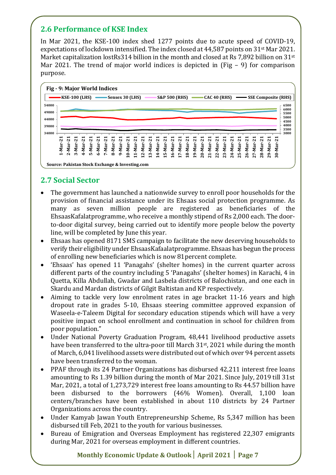## **2.6 Performance of KSE Index**

In Mar 2021, the KSE-100 index shed 1277 points due to acute speed of COVID-19, expectations of lockdown intensified. The index closed at 44,587 points on 31st Mar 2021. Market capitalization lostRs314 billion in the month and closed at Rs 7,892 billion on 31<sup>st</sup> Mar 2021. The trend of major world indices is depicted in (Fig  $-$  9) for comparison purpose.



## **2.7 Social Sector**

- The government has launched a nationwide survey to enroll poor households for the provision of financial assistance under its Ehsaas social protection programme. As many as seven million people are registered as beneficiaries of the EhsaasKafalatprogramme, who receive a monthly stipend of Rs 2,000 each. The doorto-door digital survey, being carried out to identify more people below the poverty line, will be completed by June this year.
- Ehsaas has opened 8171 SMS campaign to facilitate the new deserving households to verify their eligibility under EhsaasKafaalatprogramme. Ehsaas has begun the process of enrolling new beneficiaries which is now 81percent complete.
- 'Ehsaas' has opened 11 'Panagahs' (shelter homes) in the current quarter across different parts of the country including 5 'Panagahs' (shelter homes) in Karachi, 4 in Quetta, Killa Abdullah, Gwadar and Lasbela districts of Balochistan, and one each in Skardu and Mardan districts of Gilgit Baltistan and KP respectively.
- Aiming to tackle very low enrolment rates in age bracket 11-16 years and high dropout rate in grades 5-10, Ehsaas steering committee approved expansion of Waseela-e-Taleem Digital for secondary education stipends which will have a very positive impact on school enrollment and continuation in school for children from poor population."
- Under National Poverty Graduation Program, 48,441 livelihood productive assets have been transferred to the ultra-poor till March 31<sup>st</sup>, 2021 while during the month of March, 6,041 livelihood assets were distributed out of which over 94 percent assets have been transferred to the woman.
- PPAF through its 24 Partner Organizations has disbursed 42,211 interest free loans amounting to Rs 1.39 billion during the month of Mar 2021. Since July, 2019 till 31st Mar, 2021, a total of 1,273,729 interest free loans amounting to Rs 44.57 billion have been disbursed to the borrowers (46% Women). Overall, 1,100 loan centers/branches have been established in about 110 districts by 24 Partner Organizations across the country.
- Under Kamyab Jawan Youth Entrepreneurship Scheme, Rs 5,347 million has been disbursed till Feb, 2021 to the youth for various businesses.
- Bureau of Emigration and Overseas Employment has registered 22,307 emigrants during Mar, 2021 for overseas employment in different countries.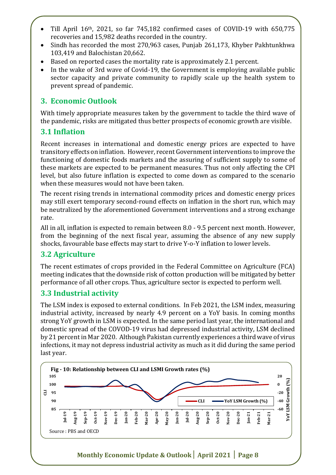- Till April 16th, 2021, so far 745,182 confirmed cases of COVID-19 with 650,775 recoveries and 15,982 deaths recorded in the country.
- Sindh has recorded the most 270,963 cases, Punjab 261,173, Khyber Pakhtunkhwa 103,419 and Balochistan 20,662.
- Based on reported cases the mortality rate is approximately 2.1 percent.
- In the wake of 3rd wave of Covid-19, the Government is employing available public sector capacity and private community to rapidly scale up the health system to prevent spread of pandemic.

### **3. Economic Outlook**

With timely appropriate measures taken by the government to tackle the third wave of the pandemic, risks are mitigated thus better prospects of economic growth are visible.

#### **3.1 Inflation**

Recent increases in international and domestic energy prices are expected to have transitory effects on inflation. However, recent Government interventions to improve the functioning of domestic foods markets and the assuring of sufficient supply to some of these markets are expected to be permanent measures. Thus not only affecting the CPI level, but also future inflation is expected to come down as compared to the scenario when these measures would not have been taken.

The recent rising trends in international commodity prices and domestic energy prices may still exert temporary second-round effects on inflation in the short run, which may be neutralized by the aforementioned Government interventions and a strong exchange rate.

All in all, inflation is expected to remain between 8.0 - 9.5 percent next month. However, from the beginning of the next fiscal year, assuming the absence of any new supply shocks, favourable base effects may start to drive Y-o-Y inflation to lower levels.

#### **3.2 Agriculture**

The recent estimates of crops provided in the Federal Committee on Agriculture (FCA) meeting indicates that the downside risk of cotton production will be mitigated by better performance of all other crops. Thus, agriculture sector is expected to perform well.

#### **3.3 Industrial activity**

The LSM index is exposed to external conditions. In Feb 2021, the LSM index, measuring industrial activity, increased by nearly 4.9 percent on a YoY basis. In coming months strong YoY growth in LSM is expected. In the same period last year, the international and domestic spread of the COVOD-19 virus had depressed industrial activity, LSM declined by 21 percent in Mar 2020. Although Pakistan currently experiences a third wave of virus infections, it may not depress industrial activity as much as it did during the same period last year.

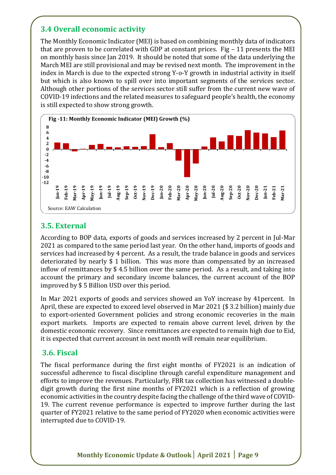## **3.4 Overall economic activity**

The Monthly Economic Indicator (MEI) is based on combining monthly data of indicators that are proven to be correlated with GDP at constant prices. Fig  $-11$  presents the MEI on monthly basis since Jan 2019. It should be noted that some of the data underlying the March MEI are still provisional and may be revised next month. The improvement in the index in March is due to the expected strong Y-o-Y growth in industrial activity in itself but which is also known to spill over into important segments of the services sector. Although other portions of the services sector still suffer from the current new wave of COVID-19 infections and the related measures to safeguard people's health, the economy is still expected to show strong growth.



#### **3.5. External**

According to BOP data, exports of goods and services increased by 2 percent in Jul-Mar 2021 as compared to the same period last year. On the other hand, imports of goods and services had increased by 4 percent. As a result, the trade balance in goods and services deteriorated by nearly \$ 1 billion. This was more than compensated by an increased inflow of remittances by \$ 4.5 billion over the same period. As a result, and taking into account the primary and secondary income balances, the current account of the BOP improved by \$ 5 Billion USD over this period.

In Mar 2021 exports of goods and services showed an YoY increase by 41percent. In April, these are expected to exceed level observed in Mar 2021 (\$ 3.2 billion) mainly due to export-oriented Government policies and strong economic recoveries in the main export markets. Imports are expected to remain above current level, driven by the domestic economic recovery. Since remittances are expected to remain high due to Eid, it is expected that current account in next month will remain near equilibrium.

#### **3.6. Fiscal**

The fiscal performance during the first eight months of FY2021 is an indication of successful adherence to fiscal discipline through careful expenditure management and efforts to improve the revenues. Particularly, FBR tax collection has witnessed a doubledigit growth during the first nine months of FY2021 which is a reflection of growing economic activities in the country despite facing the challenge of the third wave of COVID-19. The current revenue performance is expected to improve further during the last quarter of FY2021 relative to the same period of FY2020 when economic activities were interrupted due to COVID-19.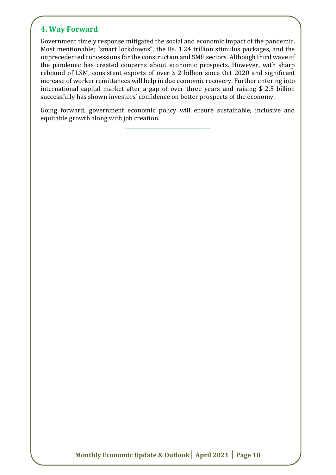### **4. Way Forward**

Government timely response mitigated the social and economic impact of the pandemic. Most mentionable; "smart lockdowns", the Rs. 1.24 trillion stimulus packages, and the unprecedented concessions for the construction and SME sectors. Although third wave of the pandemic has created concerns about economic prospects. However, with sharp rebound of LSM, consistent exports of over \$ 2 billion since Oct 2020 and significant increase of worker remittances will help in due economic recovery. Further entering into international capital market after a gap of over three years and raising \$ 2.5 billion successfully has shown investors' confidence on better prospects of the economy.

Going forward, government economic policy will ensure sustainable, inclusive and equitable growth along with job creation.

**\_\_\_\_\_\_\_\_\_\_\_\_\_\_\_\_\_\_\_\_\_\_\_\_\_\_\_\_\_\_\_\_\_\_**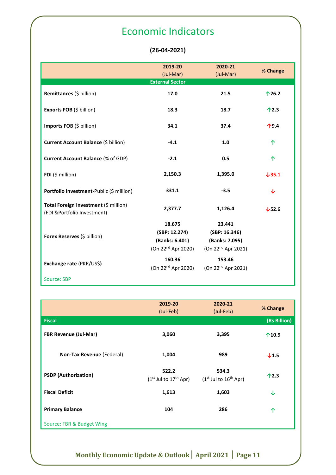## Economic Indicators

#### **(26-04-2021)**

|                                                                       | 2019-20<br>(Jul-Mar)<br><b>External Sector</b>                       | 2020-21<br>(Jul-Mar)                                                        | % Change       |
|-----------------------------------------------------------------------|----------------------------------------------------------------------|-----------------------------------------------------------------------------|----------------|
| Remittances (\$ billion)                                              | 17.0                                                                 | 21.5                                                                        | 126.2          |
| Exports FOB (\$ billion)                                              | 18.3                                                                 | 18.7                                                                        | $\uparrow$ 2.3 |
| Imports FOB (\$ billion)                                              | 34.1                                                                 | 37.4                                                                        | $\uparrow$ 9.4 |
| Current Account Balance (\$ billion)                                  | $-4.1$                                                               | 1.0                                                                         | ↑              |
| <b>Current Account Balance (% of GDP)</b>                             | $-2.1$                                                               | 0.5                                                                         | ↑              |
| FDI $(5 \text{ million})$                                             | 2,150.3                                                              | 1,395.0                                                                     | $\sqrt{35.1}$  |
| Portfolio Investment-Public (\$ million)                              | 331.1                                                                | $-3.5$                                                                      | ↓              |
| Total Foreign Investment (\$ million)<br>(FDI & Portfolio Investment) | 2,377.7                                                              | 1,126.4                                                                     | $\sqrt{52.6}$  |
| Forex Reserves (\$ billion)                                           | 18.675<br>(SBP: 12.274)<br>(Banks: 6.401)<br>(On $22^{nd}$ Apr 2020) | 23.441<br>(SBP: 16.346)<br>(Banks: 7.095)<br>(On 22 <sup>nd</sup> Apr 2021) |                |
| Exchange rate (PKR/US\$)                                              | 160.36<br>(On 22 <sup>nd</sup> Apr 2020)                             | 153.46<br>(On 22 <sup>nd</sup> Apr 2021)                                    |                |
| Source: SBP                                                           |                                                                      |                                                                             |                |

|                              | 2019-20                            | 2020-21                            | % Change         |
|------------------------------|------------------------------------|------------------------------------|------------------|
|                              | (Jul-Feb)                          | (Jul-Feb)                          |                  |
| <b>Fiscal</b>                |                                    |                                    | (Rs Billion)     |
| <b>FBR Revenue (Jul-Mar)</b> | 3,060                              | 3,395                              | 10.9             |
| Non-Tax Revenue (Federal)    | 1,004                              | 989                                | $\downarrow$ 1.5 |
| <b>PSDP</b> (Authorization)  | 522.2<br>$(1st$ Jul to $17th$ Apr) | 534.3<br>$(1st$ Jul to $16th$ Apr) | $\uparrow$ 2.3   |
| <b>Fiscal Deficit</b>        | 1,613                              | 1,603                              | ↓                |
| <b>Primary Balance</b>       | 104                                | 286                                | 个                |
| Source: FBR & Budget Wing    |                                    |                                    |                  |